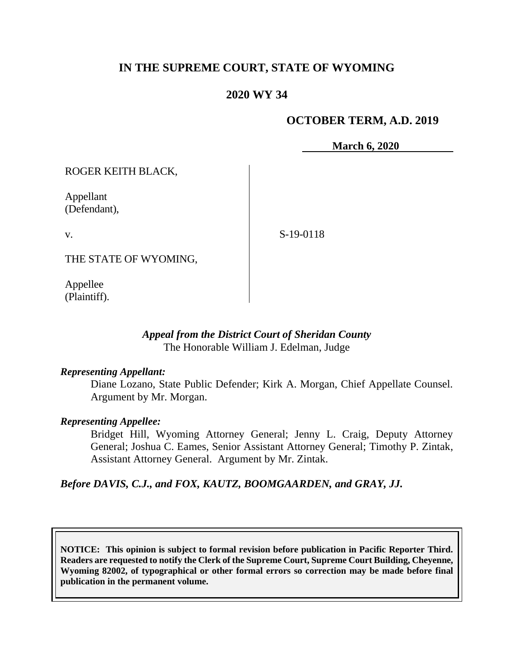# **IN THE SUPREME COURT, STATE OF WYOMING**

# **2020 WY 34**

### **OCTOBER TERM, A.D. 2019**

**March 6, 2020**

ROGER KEITH BLACK,

Appellant (Defendant),

v.

S-19-0118

THE STATE OF WYOMING,

Appellee (Plaintiff).

### *Appeal from the District Court of Sheridan County* The Honorable William J. Edelman, Judge

#### *Representing Appellant:*

Diane Lozano, State Public Defender; Kirk A. Morgan, Chief Appellate Counsel. Argument by Mr. Morgan.

#### *Representing Appellee:*

Bridget Hill, Wyoming Attorney General; Jenny L. Craig, Deputy Attorney General; Joshua C. Eames, Senior Assistant Attorney General; Timothy P. Zintak, Assistant Attorney General. Argument by Mr. Zintak.

*Before DAVIS, C.J., and FOX, KAUTZ, BOOMGAARDEN, and GRAY, JJ.*

**NOTICE: This opinion is subject to formal revision before publication in Pacific Reporter Third. Readers are requested to notify the Clerk of the Supreme Court, Supreme Court Building, Cheyenne, Wyoming 82002, of typographical or other formal errors so correction may be made before final publication in the permanent volume.**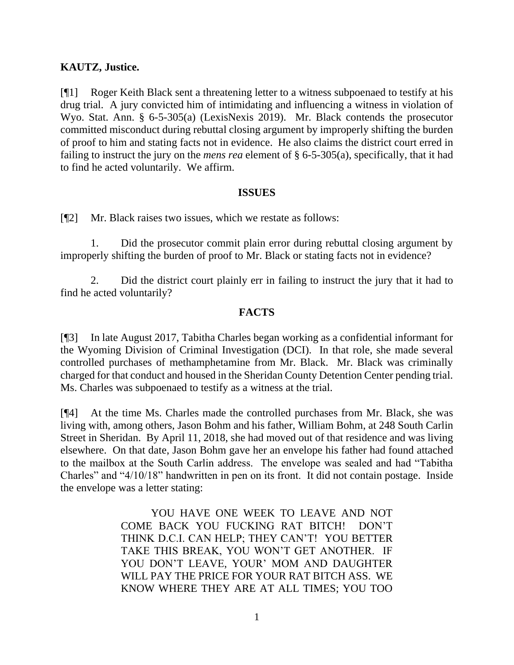# **KAUTZ, Justice.**

[¶1] Roger Keith Black sent a threatening letter to a witness subpoenaed to testify at his drug trial. A jury convicted him of intimidating and influencing a witness in violation of Wyo. Stat. Ann. § 6-5-305(a) (LexisNexis 2019). Mr. Black contends the prosecutor committed misconduct during rebuttal closing argument by improperly shifting the burden of proof to him and stating facts not in evidence. He also claims the district court erred in failing to instruct the jury on the *mens rea* element of § 6-5-305(a), specifically, that it had to find he acted voluntarily. We affirm.

#### **ISSUES**

[¶2] Mr. Black raises two issues, which we restate as follows:

1. Did the prosecutor commit plain error during rebuttal closing argument by improperly shifting the burden of proof to Mr. Black or stating facts not in evidence?

2. Did the district court plainly err in failing to instruct the jury that it had to find he acted voluntarily?

### **FACTS**

[¶3] In late August 2017, Tabitha Charles began working as a confidential informant for the Wyoming Division of Criminal Investigation (DCI). In that role, she made several controlled purchases of methamphetamine from Mr. Black. Mr. Black was criminally charged for that conduct and housed in the Sheridan County Detention Center pending trial. Ms. Charles was subpoenaed to testify as a witness at the trial.

[¶4] At the time Ms. Charles made the controlled purchases from Mr. Black, she was living with, among others, Jason Bohm and his father, William Bohm, at 248 South Carlin Street in Sheridan. By April 11, 2018, she had moved out of that residence and was living elsewhere. On that date, Jason Bohm gave her an envelope his father had found attached to the mailbox at the South Carlin address. The envelope was sealed and had "Tabitha Charles" and "4/10/18" handwritten in pen on its front. It did not contain postage. Inside the envelope was a letter stating:

> YOU HAVE ONE WEEK TO LEAVE AND NOT COME BACK YOU FUCKING RAT BITCH! DON'T THINK D.C.I. CAN HELP; THEY CAN'T! YOU BETTER TAKE THIS BREAK, YOU WON'T GET ANOTHER. IF YOU DON'T LEAVE, YOUR' MOM AND DAUGHTER WILL PAY THE PRICE FOR YOUR RAT BITCH ASS. WE KNOW WHERE THEY ARE AT ALL TIMES; YOU TOO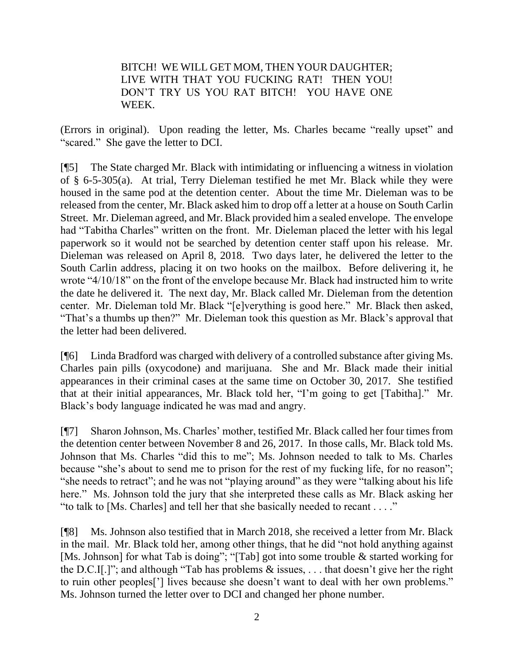BITCH! WE WILL GET MOM, THEN YOUR DAUGHTER; LIVE WITH THAT YOU FUCKING RAT! THEN YOU! DON'T TRY US YOU RAT BITCH! YOU HAVE ONE WEEK.

(Errors in original). Upon reading the letter, Ms. Charles became "really upset" and "scared." She gave the letter to DCI.

[¶5] The State charged Mr. Black with intimidating or influencing a witness in violation of § 6-5-305(a). At trial, Terry Dieleman testified he met Mr. Black while they were housed in the same pod at the detention center. About the time Mr. Dieleman was to be released from the center, Mr. Black asked him to drop off a letter at a house on South Carlin Street. Mr. Dieleman agreed, and Mr. Black provided him a sealed envelope. The envelope had "Tabitha Charles" written on the front. Mr. Dieleman placed the letter with his legal paperwork so it would not be searched by detention center staff upon his release. Mr. Dieleman was released on April 8, 2018. Two days later, he delivered the letter to the South Carlin address, placing it on two hooks on the mailbox. Before delivering it, he wrote "4/10/18" on the front of the envelope because Mr. Black had instructed him to write the date he delivered it. The next day, Mr. Black called Mr. Dieleman from the detention center. Mr. Dieleman told Mr. Black "[e]verything is good here." Mr. Black then asked, "That's a thumbs up then?" Mr. Dieleman took this question as Mr. Black's approval that the letter had been delivered.

[¶6] Linda Bradford was charged with delivery of a controlled substance after giving Ms. Charles pain pills (oxycodone) and marijuana. She and Mr. Black made their initial appearances in their criminal cases at the same time on October 30, 2017. She testified that at their initial appearances, Mr. Black told her, "I'm going to get [Tabitha]." Mr. Black's body language indicated he was mad and angry.

[¶7] Sharon Johnson, Ms. Charles' mother, testified Mr. Black called her four times from the detention center between November 8 and 26, 2017. In those calls, Mr. Black told Ms. Johnson that Ms. Charles "did this to me"; Ms. Johnson needed to talk to Ms. Charles because "she's about to send me to prison for the rest of my fucking life, for no reason"; "she needs to retract"; and he was not "playing around" as they were "talking about his life here." Ms. Johnson told the jury that she interpreted these calls as Mr. Black asking her "to talk to [Ms. Charles] and tell her that she basically needed to recant . . . ."

[¶8] Ms. Johnson also testified that in March 2018, she received a letter from Mr. Black in the mail. Mr. Black told her, among other things, that he did "not hold anything against [Ms. Johnson] for what Tab is doing"; "[Tab] got into some trouble & started working for the D.C.I[.]"; and although "Tab has problems  $\&$  issues, ... that doesn't give her the right to ruin other peoples['] lives because she doesn't want to deal with her own problems." Ms. Johnson turned the letter over to DCI and changed her phone number.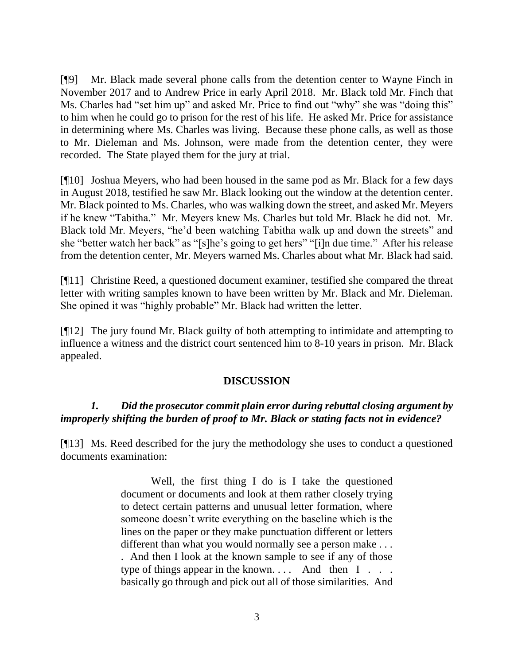[¶9] Mr. Black made several phone calls from the detention center to Wayne Finch in November 2017 and to Andrew Price in early April 2018. Mr. Black told Mr. Finch that Ms. Charles had "set him up" and asked Mr. Price to find out "why" she was "doing this" to him when he could go to prison for the rest of his life. He asked Mr. Price for assistance in determining where Ms. Charles was living. Because these phone calls, as well as those to Mr. Dieleman and Ms. Johnson, were made from the detention center, they were recorded. The State played them for the jury at trial.

[¶10] Joshua Meyers, who had been housed in the same pod as Mr. Black for a few days in August 2018, testified he saw Mr. Black looking out the window at the detention center. Mr. Black pointed to Ms. Charles, who was walking down the street, and asked Mr. Meyers if he knew "Tabitha." Mr. Meyers knew Ms. Charles but told Mr. Black he did not. Mr. Black told Mr. Meyers, "he'd been watching Tabitha walk up and down the streets" and she "better watch her back" as "[s]he's going to get hers" "[i]n due time." After his release from the detention center, Mr. Meyers warned Ms. Charles about what Mr. Black had said.

[¶11] Christine Reed, a questioned document examiner, testified she compared the threat letter with writing samples known to have been written by Mr. Black and Mr. Dieleman. She opined it was "highly probable" Mr. Black had written the letter.

[¶12] The jury found Mr. Black guilty of both attempting to intimidate and attempting to influence a witness and the district court sentenced him to 8-10 years in prison. Mr. Black appealed.

# **DISCUSSION**

# *1. Did the prosecutor commit plain error during rebuttal closing argument by improperly shifting the burden of proof to Mr. Black or stating facts not in evidence?*

[¶13] Ms. Reed described for the jury the methodology she uses to conduct a questioned documents examination:

> Well, the first thing I do is I take the questioned document or documents and look at them rather closely trying to detect certain patterns and unusual letter formation, where someone doesn't write everything on the baseline which is the lines on the paper or they make punctuation different or letters different than what you would normally see a person make . . . . And then I look at the known sample to see if any of those type of things appear in the known. . . . And then I . . . basically go through and pick out all of those similarities. And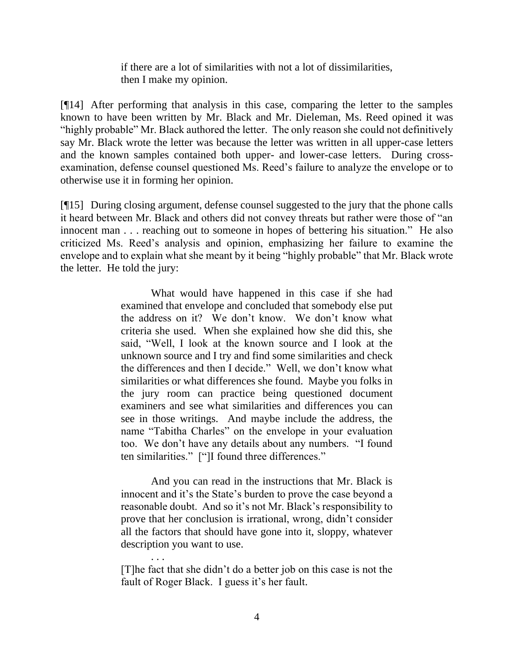if there are a lot of similarities with not a lot of dissimilarities, then I make my opinion.

[¶14] After performing that analysis in this case, comparing the letter to the samples known to have been written by Mr. Black and Mr. Dieleman, Ms. Reed opined it was "highly probable" Mr. Black authored the letter. The only reason she could not definitively say Mr. Black wrote the letter was because the letter was written in all upper-case letters and the known samples contained both upper- and lower-case letters. During crossexamination, defense counsel questioned Ms. Reed's failure to analyze the envelope or to otherwise use it in forming her opinion.

[¶15] During closing argument, defense counsel suggested to the jury that the phone calls it heard between Mr. Black and others did not convey threats but rather were those of "an innocent man . . . reaching out to someone in hopes of bettering his situation." He also criticized Ms. Reed's analysis and opinion, emphasizing her failure to examine the envelope and to explain what she meant by it being "highly probable" that Mr. Black wrote the letter. He told the jury:

> What would have happened in this case if she had examined that envelope and concluded that somebody else put the address on it? We don't know. We don't know what criteria she used. When she explained how she did this, she said, "Well, I look at the known source and I look at the unknown source and I try and find some similarities and check the differences and then I decide." Well, we don't know what similarities or what differences she found. Maybe you folks in the jury room can practice being questioned document examiners and see what similarities and differences you can see in those writings. And maybe include the address, the name "Tabitha Charles" on the envelope in your evaluation too. We don't have any details about any numbers. "I found ten similarities." ["]I found three differences."

> And you can read in the instructions that Mr. Black is innocent and it's the State's burden to prove the case beyond a reasonable doubt. And so it's not Mr. Black's responsibility to prove that her conclusion is irrational, wrong, didn't consider all the factors that should have gone into it, sloppy, whatever description you want to use.

> [T]he fact that she didn't do a better job on this case is not the fault of Roger Black. I guess it's her fault.

. . .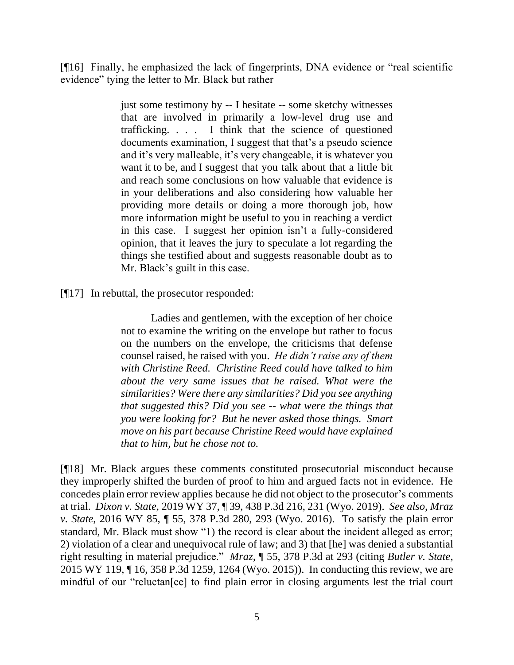[¶16] Finally, he emphasized the lack of fingerprints, DNA evidence or "real scientific evidence" tying the letter to Mr. Black but rather

> just some testimony by -- I hesitate -- some sketchy witnesses that are involved in primarily a low-level drug use and trafficking. . . . I think that the science of questioned documents examination, I suggest that that's a pseudo science and it's very malleable, it's very changeable, it is whatever you want it to be, and I suggest that you talk about that a little bit and reach some conclusions on how valuable that evidence is in your deliberations and also considering how valuable her providing more details or doing a more thorough job, how more information might be useful to you in reaching a verdict in this case. I suggest her opinion isn't a fully-considered opinion, that it leaves the jury to speculate a lot regarding the things she testified about and suggests reasonable doubt as to Mr. Black's guilt in this case.

[¶17] In rebuttal, the prosecutor responded:

Ladies and gentlemen, with the exception of her choice not to examine the writing on the envelope but rather to focus on the numbers on the envelope, the criticisms that defense counsel raised, he raised with you. *He didn't raise any of them with Christine Reed. Christine Reed could have talked to him about the very same issues that he raised. What were the similarities? Were there any similarities? Did you see anything that suggested this? Did you see -- what were the things that you were looking for? But he never asked those things. Smart move on his part because Christine Reed would have explained that to him, but he chose not to.*

[¶18] Mr. Black argues these comments constituted prosecutorial misconduct because they improperly shifted the burden of proof to him and argued facts not in evidence. He concedes plain error review applies because he did not object to the prosecutor's comments at trial. *Dixon v. State*, 2019 WY 37, ¶ 39, 438 P.3d 216, 231 (Wyo. 2019). *See also, Mraz v. State*, 2016 WY 85, ¶ 55, 378 P.3d 280, 293 (Wyo. 2016). To satisfy the plain error standard, Mr. Black must show "1) the record is clear about the incident alleged as error; 2) violation of a clear and unequivocal rule of law; and 3) that [he] was denied a substantial right resulting in material prejudice." *Mraz*, ¶ 55, 378 P.3d at 293 (citing *Butler v. State*, 2015 WY 119, ¶ 16, 358 P.3d 1259, 1264 (Wyo. 2015)). In conducting this review, we are mindful of our "reluctan[ce] to find plain error in closing arguments lest the trial court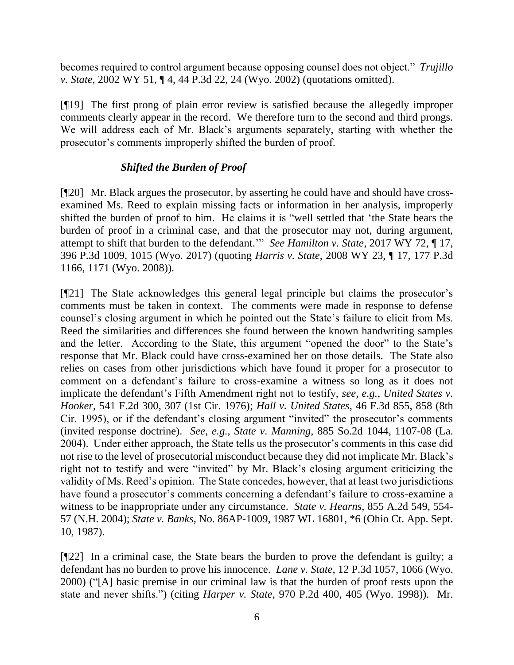becomes required to control argument because opposing counsel does not object." *Trujillo v. State*, 2002 WY 51, ¶ 4, 44 P.3d 22, 24 (Wyo. 2002) (quotations omitted).

[¶19] The first prong of plain error review is satisfied because the allegedly improper comments clearly appear in the record. We therefore turn to the second and third prongs. We will address each of Mr. Black's arguments separately, starting with whether the prosecutor's comments improperly shifted the burden of proof.

# *Shifted the Burden of Proof*

[¶20] Mr. Black argues the prosecutor, by asserting he could have and should have crossexamined Ms. Reed to explain missing facts or information in her analysis, improperly shifted the burden of proof to him. He claims it is "well settled that 'the State bears the burden of proof in a criminal case, and that the prosecutor may not, during argument, attempt to shift that burden to the defendant.'" *See Hamilton v. State*, 2017 WY 72, ¶ 17, 396 P.3d 1009, 1015 (Wyo. 2017) (quoting *Harris v. State*, 2008 WY 23, ¶ 17, 177 P.3d 1166, 1171 (Wyo. 2008)).

[¶21] The State acknowledges this general legal principle but claims the prosecutor's comments must be taken in context. The comments were made in response to defense counsel's closing argument in which he pointed out the State's failure to elicit from Ms. Reed the similarities and differences she found between the known handwriting samples and the letter. According to the State, this argument "opened the door" to the State's response that Mr. Black could have cross-examined her on those details. The State also relies on cases from other jurisdictions which have found it proper for a prosecutor to comment on a defendant's failure to cross-examine a witness so long as it does not implicate the defendant's Fifth Amendment right not to testify, *see, e.g., United States v. Hooker*, 541 F.2d 300, 307 (1st Cir. 1976); *Hall v. United States*, 46 F.3d 855, 858 (8th Cir. 1995), or if the defendant's closing argument "invited" the prosecutor's comments (invited response doctrine). *See, e.g., State v. Manning*, 885 So.2d 1044, 1107-08 (La. 2004). Under either approach, the State tells us the prosecutor's comments in this case did not rise to the level of prosecutorial misconduct because they did not implicate Mr. Black's right not to testify and were "invited" by Mr. Black's closing argument criticizing the validity of Ms. Reed's opinion. The State concedes, however, that at least two jurisdictions have found a prosecutor's comments concerning a defendant's failure to cross-examine a witness to be inappropriate under any circumstance. *State v. Hearns*, 855 A.2d 549, 554- 57 (N.H. 2004); *State v. Banks*, No. 86AP-1009, 1987 WL 16801, \*6 (Ohio Ct. App. Sept. 10, 1987).

[¶22] In a criminal case, the State bears the burden to prove the defendant is guilty; a defendant has no burden to prove his innocence. *Lane v. State*, 12 P.3d 1057, 1066 (Wyo. 2000) ("[A] basic premise in our criminal law is that the burden of proof rests upon the state and never shifts.") (citing *Harper v. State*, 970 P.2d 400, 405 (Wyo. 1998)). Mr.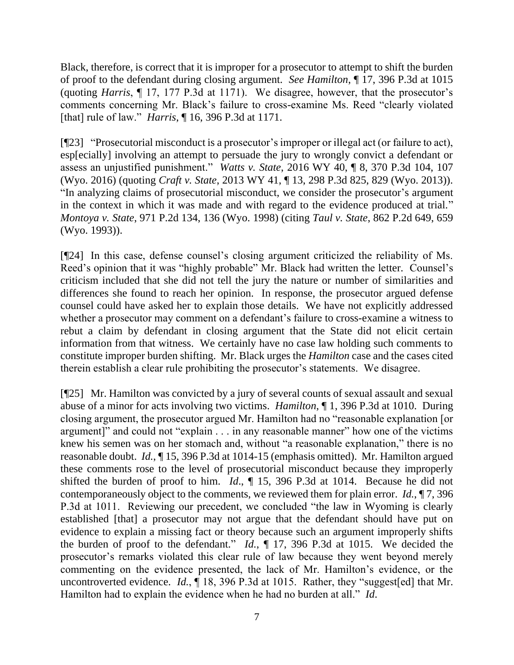Black, therefore, is correct that it is improper for a prosecutor to attempt to shift the burden of proof to the defendant during closing argument. *See Hamilton*, ¶ 17, 396 P.3d at 1015 (quoting *Harris*, ¶ 17, 177 P.3d at 1171). We disagree, however, that the prosecutor's comments concerning Mr. Black's failure to cross-examine Ms. Reed "clearly violated [that] rule of law." *Harris*, ¶ 16, 396 P.3d at 1171.

[¶23] "Prosecutorial misconduct is a prosecutor's improper or illegal act (or failure to act), esp[ecially] involving an attempt to persuade the jury to wrongly convict a defendant or assess an unjustified punishment." *Watts v. State*, 2016 WY 40, ¶ 8, 370 P.3d 104, 107 (Wyo. 2016) (quoting *Craft v. State*, 2013 WY 41, ¶ 13, 298 P.3d 825, 829 (Wyo. 2013)). "In analyzing claims of prosecutorial misconduct, we consider the prosecutor's argument in the context in which it was made and with regard to the evidence produced at trial." *Montoya v. State*, 971 P.2d 134, 136 (Wyo. 1998) (citing *Taul v. State*, 862 P.2d 649, 659 (Wyo. 1993)).

[¶24] In this case, defense counsel's closing argument criticized the reliability of Ms. Reed's opinion that it was "highly probable" Mr. Black had written the letter. Counsel's criticism included that she did not tell the jury the nature or number of similarities and differences she found to reach her opinion. In response, the prosecutor argued defense counsel could have asked her to explain those details. We have not explicitly addressed whether a prosecutor may comment on a defendant's failure to cross-examine a witness to rebut a claim by defendant in closing argument that the State did not elicit certain information from that witness. We certainly have no case law holding such comments to constitute improper burden shifting. Mr. Black urges the *Hamilton* case and the cases cited therein establish a clear rule prohibiting the prosecutor's statements. We disagree.

[¶25] Mr. Hamilton was convicted by a jury of several counts of sexual assault and sexual abuse of a minor for acts involving two victims. *Hamilton*, ¶ 1, 396 P.3d at 1010. During closing argument, the prosecutor argued Mr. Hamilton had no "reasonable explanation [or argument]" and could not "explain . . . in any reasonable manner" how one of the victims knew his semen was on her stomach and, without "a reasonable explanation," there is no reasonable doubt. *Id.*, ¶ 15, 396 P.3d at 1014-15 (emphasis omitted). Mr. Hamilton argued these comments rose to the level of prosecutorial misconduct because they improperly shifted the burden of proof to him. *Id*., ¶ 15, 396 P.3d at 1014. Because he did not contemporaneously object to the comments, we reviewed them for plain error. *Id.*, ¶ 7, 396 P.3d at 1011. Reviewing our precedent, we concluded "the law in Wyoming is clearly established [that] a prosecutor may not argue that the defendant should have put on evidence to explain a missing fact or theory because such an argument improperly shifts the burden of proof to the defendant." *Id.*, ¶ 17, 396 P.3d at 1015. We decided the prosecutor's remarks violated this clear rule of law because they went beyond merely commenting on the evidence presented, the lack of Mr. Hamilton's evidence, or the uncontroverted evidence. *Id.*, 18, 396 P.3d at 1015. Rather, they "suggest[ed] that Mr. Hamilton had to explain the evidence when he had no burden at all." *Id*.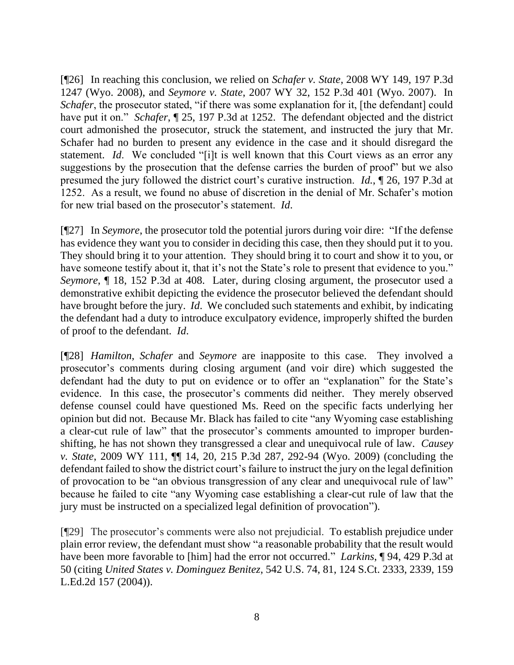[¶26] In reaching this conclusion, we relied on *Schafer v. State*, 2008 WY 149, 197 P.3d 1247 (Wyo. 2008), and *Seymore v. State*, 2007 WY 32, 152 P.3d 401 (Wyo. 2007). In *Schafer*, the prosecutor stated, "if there was some explanation for it, [the defendant] could have put it on." *Schafer*, ¶ 25, 197 P.3d at 1252. The defendant objected and the district court admonished the prosecutor, struck the statement, and instructed the jury that Mr. Schafer had no burden to present any evidence in the case and it should disregard the statement. *Id*. We concluded "[i]t is well known that this Court views as an error any suggestions by the prosecution that the defense carries the burden of proof" but we also presumed the jury followed the district court's curative instruction. *Id.*, ¶ 26, 197 P.3d at 1252. As a result, we found no abuse of discretion in the denial of Mr. Schafer's motion for new trial based on the prosecutor's statement. *Id*.

[¶27] In *Seymore*, the prosecutor told the potential jurors during voir dire: "If the defense has evidence they want you to consider in deciding this case, then they should put it to you. They should bring it to your attention. They should bring it to court and show it to you, or have someone testify about it, that it's not the State's role to present that evidence to you." *Seymore*, ¶ 18, 152 P.3d at 408. Later, during closing argument, the prosecutor used a demonstrative exhibit depicting the evidence the prosecutor believed the defendant should have brought before the jury. *Id*. We concluded such statements and exhibit, by indicating the defendant had a duty to introduce exculpatory evidence, improperly shifted the burden of proof to the defendant. *Id*.

[¶28] *Hamilton*, *Schafer* and *Seymore* are inapposite to this case. They involved a prosecutor's comments during closing argument (and voir dire) which suggested the defendant had the duty to put on evidence or to offer an "explanation" for the State's evidence. In this case, the prosecutor's comments did neither. They merely observed defense counsel could have questioned Ms. Reed on the specific facts underlying her opinion but did not. Because Mr. Black has failed to cite "any Wyoming case establishing a clear-cut rule of law" that the prosecutor's comments amounted to improper burdenshifting, he has not shown they transgressed a clear and unequivocal rule of law. *Causey v. State*, 2009 WY 111, ¶¶ 14, 20, 215 P.3d 287, 292-94 (Wyo. 2009) (concluding the defendant failed to show the district court's failure to instruct the jury on the legal definition of provocation to be "an obvious transgression of any clear and unequivocal rule of law" because he failed to cite "any Wyoming case establishing a clear-cut rule of law that the jury must be instructed on a specialized legal definition of provocation").

[¶29] The prosecutor's comments were also not prejudicial. To establish prejudice under plain error review, the defendant must show "a reasonable probability that the result would have been more favorable to [him] had the error not occurred." *Larkins*, ¶ 94, 429 P.3d at 50 (citing *United States v. Dominguez Benitez*, 542 U.S. 74, 81, 124 S.Ct. 2333, 2339, 159 L.Ed.2d 157 (2004)).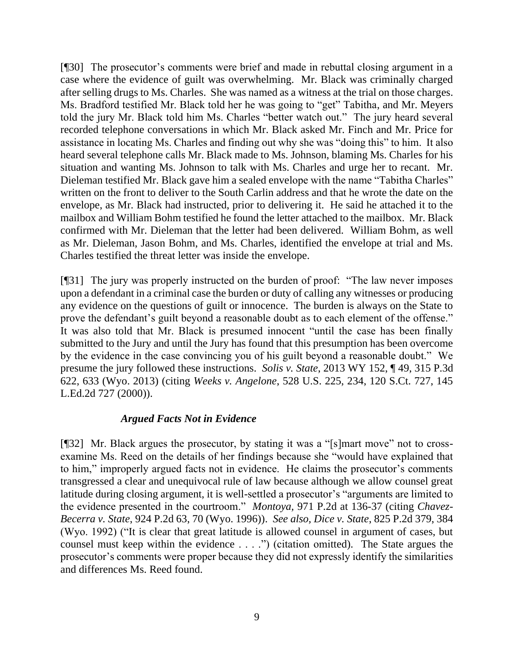[¶30] The prosecutor's comments were brief and made in rebuttal closing argument in a case where the evidence of guilt was overwhelming. Mr. Black was criminally charged after selling drugs to Ms. Charles. She was named as a witness at the trial on those charges. Ms. Bradford testified Mr. Black told her he was going to "get" Tabitha, and Mr. Meyers told the jury Mr. Black told him Ms. Charles "better watch out." The jury heard several recorded telephone conversations in which Mr. Black asked Mr. Finch and Mr. Price for assistance in locating Ms. Charles and finding out why she was "doing this" to him. It also heard several telephone calls Mr. Black made to Ms. Johnson, blaming Ms. Charles for his situation and wanting Ms. Johnson to talk with Ms. Charles and urge her to recant. Mr. Dieleman testified Mr. Black gave him a sealed envelope with the name "Tabitha Charles" written on the front to deliver to the South Carlin address and that he wrote the date on the envelope, as Mr. Black had instructed, prior to delivering it. He said he attached it to the mailbox and William Bohm testified he found the letter attached to the mailbox. Mr. Black confirmed with Mr. Dieleman that the letter had been delivered. William Bohm, as well as Mr. Dieleman, Jason Bohm, and Ms. Charles, identified the envelope at trial and Ms. Charles testified the threat letter was inside the envelope.

[¶31] The jury was properly instructed on the burden of proof: "The law never imposes upon a defendant in a criminal case the burden or duty of calling any witnesses or producing any evidence on the questions of guilt or innocence. The burden is always on the State to prove the defendant's guilt beyond a reasonable doubt as to each element of the offense." It was also told that Mr. Black is presumed innocent "until the case has been finally submitted to the Jury and until the Jury has found that this presumption has been overcome by the evidence in the case convincing you of his guilt beyond a reasonable doubt." We presume the jury followed these instructions. *Solis v. State*, 2013 WY 152, ¶ 49, 315 P.3d 622, 633 (Wyo. 2013) (citing *Weeks v. Angelone*, 528 U.S. 225, 234, 120 S.Ct. 727, 145 L.Ed.2d 727 (2000)).

#### *Argued Facts Not in Evidence*

[¶32] Mr. Black argues the prosecutor, by stating it was a "[s]mart move" not to crossexamine Ms. Reed on the details of her findings because she "would have explained that to him," improperly argued facts not in evidence. He claims the prosecutor's comments transgressed a clear and unequivocal rule of law because although we allow counsel great latitude during closing argument, it is well-settled a prosecutor's "arguments are limited to the evidence presented in the courtroom." *Montoya,* 971 P.2d at 136-37 (citing *Chavez-Becerra v. State*, 924 P.2d 63, 70 (Wyo. 1996)). *See also, Dice v. State*, 825 P.2d 379, 384 (Wyo. 1992) ("It is clear that great latitude is allowed counsel in argument of cases, but counsel must keep within the evidence . . . .") (citation omitted). The State argues the prosecutor's comments were proper because they did not expressly identify the similarities and differences Ms. Reed found.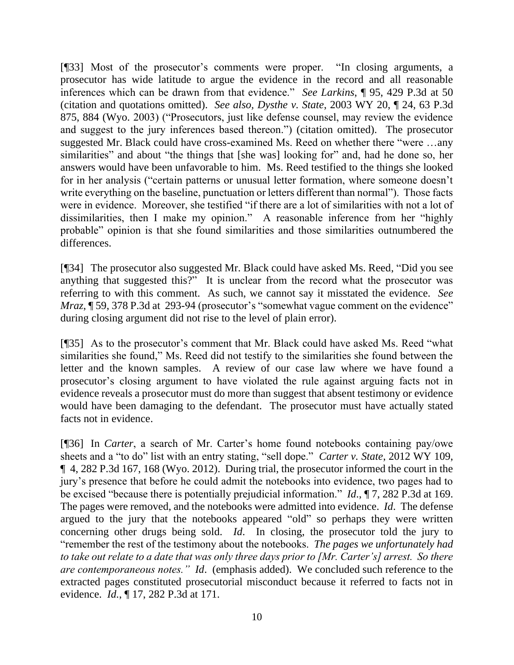[¶33] Most of the prosecutor's comments were proper. "In closing arguments, a prosecutor has wide latitude to argue the evidence in the record and all reasonable inferences which can be drawn from that evidence." *See Larkins*, ¶ 95, 429 P.3d at 50 (citation and quotations omitted). *See also, Dysthe v. State*, 2003 WY 20, ¶ 24, 63 P.3d 875, 884 (Wyo. 2003) ("Prosecutors, just like defense counsel, may review the evidence and suggest to the jury inferences based thereon.") (citation omitted). The prosecutor suggested Mr. Black could have cross-examined Ms. Reed on whether there "were …any similarities" and about "the things that [she was] looking for" and, had he done so, her answers would have been unfavorable to him. Ms. Reed testified to the things she looked for in her analysis ("certain patterns or unusual letter formation, where someone doesn't write everything on the baseline, punctuation or letters different than normal"). Those facts were in evidence. Moreover, she testified "if there are a lot of similarities with not a lot of dissimilarities, then I make my opinion." A reasonable inference from her "highly probable" opinion is that she found similarities and those similarities outnumbered the differences.

[¶34] The prosecutor also suggested Mr. Black could have asked Ms. Reed, "Did you see anything that suggested this?" It is unclear from the record what the prosecutor was referring to with this comment. As such, we cannot say it misstated the evidence. *See Mraz*, **[59, 378 P.3d at 293-94 (prosecutor's "somewhat vague comment on the evidence"** during closing argument did not rise to the level of plain error).

[¶35] As to the prosecutor's comment that Mr. Black could have asked Ms. Reed "what similarities she found," Ms. Reed did not testify to the similarities she found between the letter and the known samples. A review of our case law where we have found a prosecutor's closing argument to have violated the rule against arguing facts not in evidence reveals a prosecutor must do more than suggest that absent testimony or evidence would have been damaging to the defendant. The prosecutor must have actually stated facts not in evidence.

[¶36] In *Carter*, a search of Mr. Carter's home found notebooks containing pay/owe sheets and a "to do" list with an entry stating, "sell dope." *Carter v. State*, 2012 WY 109, ¶ 4, 282 P.3d 167, 168 (Wyo. 2012). During trial, the prosecutor informed the court in the jury's presence that before he could admit the notebooks into evidence, two pages had to be excised "because there is potentially prejudicial information." *Id*., ¶ 7, 282 P.3d at 169. The pages were removed, and the notebooks were admitted into evidence. *Id*. The defense argued to the jury that the notebooks appeared "old" so perhaps they were written concerning other drugs being sold. *Id*. In closing, the prosecutor told the jury to "remember the rest of the testimony about the notebooks. *The pages we unfortunately had to take out relate to a date that was only three days prior to [Mr. Carter's] arrest. So there are contemporaneous notes." Id*. (emphasis added). We concluded such reference to the extracted pages constituted prosecutorial misconduct because it referred to facts not in evidence. *Id.*, ¶ 17, 282 P.3d at 171.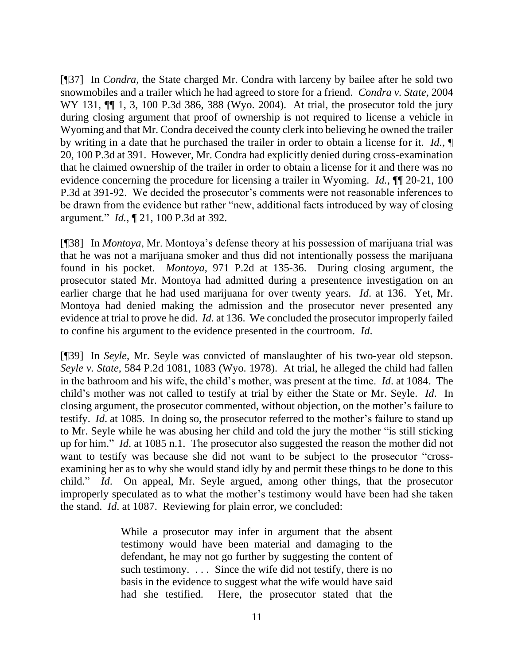[¶37] In *Condra*, the State charged Mr. Condra with larceny by bailee after he sold two snowmobiles and a trailer which he had agreed to store for a friend. *Condra v. State*, 2004 WY 131,  $\P$  1, 3, 100 P.3d 386, 388 (Wyo. 2004). At trial, the prosecutor told the jury during closing argument that proof of ownership is not required to license a vehicle in Wyoming and that Mr. Condra deceived the county clerk into believing he owned the trailer by writing in a date that he purchased the trailer in order to obtain a license for it. *Id.*, ¶ 20, 100 P.3d at 391. However, Mr. Condra had explicitly denied during cross-examination that he claimed ownership of the trailer in order to obtain a license for it and there was no evidence concerning the procedure for licensing a trailer in Wyoming. *Id.*, ¶¶ 20-21, 100 P.3d at 391-92. We decided the prosecutor's comments were not reasonable inferences to be drawn from the evidence but rather "new, additional facts introduced by way of closing argument." *Id.*, ¶ 21, 100 P.3d at 392.

[¶38] In *Montoya*, Mr. Montoya's defense theory at his possession of marijuana trial was that he was not a marijuana smoker and thus did not intentionally possess the marijuana found in his pocket. *Montoya*, 971 P.2d at 135-36. During closing argument, the prosecutor stated Mr. Montoya had admitted during a presentence investigation on an earlier charge that he had used marijuana for over twenty years. *Id*. at 136. Yet, Mr. Montoya had denied making the admission and the prosecutor never presented any evidence at trial to prove he did. *Id*. at 136. We concluded the prosecutor improperly failed to confine his argument to the evidence presented in the courtroom. *Id*.

[¶39] In *Seyle*, Mr. Seyle was convicted of manslaughter of his two-year old stepson. *Seyle v. State*, 584 P.2d 1081, 1083 (Wyo. 1978). At trial, he alleged the child had fallen in the bathroom and his wife, the child's mother, was present at the time. *Id*. at 1084. The child's mother was not called to testify at trial by either the State or Mr. Seyle. *Id*. In closing argument, the prosecutor commented, without objection, on the mother's failure to testify. *Id*. at 1085. In doing so, the prosecutor referred to the mother's failure to stand up to Mr. Seyle while he was abusing her child and told the jury the mother "is still sticking up for him." *Id*. at 1085 n.1. The prosecutor also suggested the reason the mother did not want to testify was because she did not want to be subject to the prosecutor "crossexamining her as to why she would stand idly by and permit these things to be done to this child." *Id*. On appeal, Mr. Seyle argued, among other things, that the prosecutor improperly speculated as to what the mother's testimony would have been had she taken the stand. *Id*. at 1087. Reviewing for plain error, we concluded:

> While a prosecutor may infer in argument that the absent testimony would have been material and damaging to the defendant, he may not go further by suggesting the content of such testimony. ... Since the wife did not testify, there is no basis in the evidence to suggest what the wife would have said had she testified. Here, the prosecutor stated that the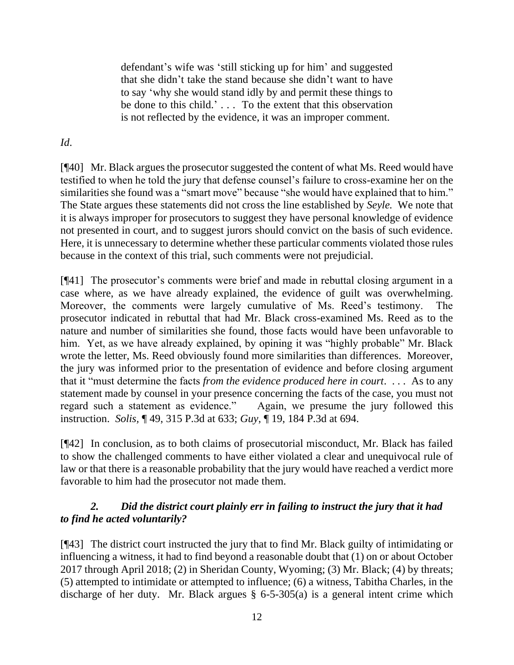defendant's wife was 'still sticking up for him' and suggested that she didn't take the stand because she didn't want to have to say 'why she would stand idly by and permit these things to be done to this child.' . . . To the extent that this observation is not reflected by the evidence, it was an improper comment.

# *Id*.

[¶40] Mr. Black argues the prosecutor suggested the content of what Ms. Reed would have testified to when he told the jury that defense counsel's failure to cross-examine her on the similarities she found was a "smart move" because "she would have explained that to him." The State argues these statements did not cross the line established by *Seyle.* We note that it is always improper for prosecutors to suggest they have personal knowledge of evidence not presented in court, and to suggest jurors should convict on the basis of such evidence. Here, it is unnecessary to determine whether these particular comments violated those rules because in the context of this trial, such comments were not prejudicial.

[¶41] The prosecutor's comments were brief and made in rebuttal closing argument in a case where, as we have already explained, the evidence of guilt was overwhelming. Moreover, the comments were largely cumulative of Ms. Reed's testimony. The prosecutor indicated in rebuttal that had Mr. Black cross-examined Ms. Reed as to the nature and number of similarities she found, those facts would have been unfavorable to him. Yet, as we have already explained, by opining it was "highly probable" Mr. Black wrote the letter, Ms. Reed obviously found more similarities than differences. Moreover, the jury was informed prior to the presentation of evidence and before closing argument that it "must determine the facts *from the evidence produced here in court*. . . . As to any statement made by counsel in your presence concerning the facts of the case, you must not regard such a statement as evidence." Again, we presume the jury followed this instruction. *Solis,* ¶ 49, 315 P.3d at 633; *Guy*, ¶ 19, 184 P.3d at 694.

[¶42] In conclusion, as to both claims of prosecutorial misconduct, Mr. Black has failed to show the challenged comments to have either violated a clear and unequivocal rule of law or that there is a reasonable probability that the jury would have reached a verdict more favorable to him had the prosecutor not made them.

# *2. Did the district court plainly err in failing to instruct the jury that it had to find he acted voluntarily?*

[¶43] The district court instructed the jury that to find Mr. Black guilty of intimidating or influencing a witness, it had to find beyond a reasonable doubt that (1) on or about October 2017 through April 2018; (2) in Sheridan County, Wyoming; (3) Mr. Black; (4) by threats; (5) attempted to intimidate or attempted to influence; (6) a witness, Tabitha Charles, in the discharge of her duty. Mr. Black argues § 6-5-305(a) is a general intent crime which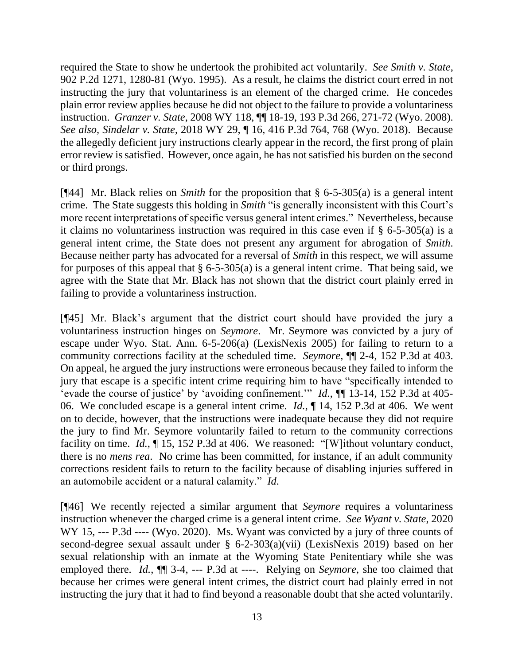required the State to show he undertook the prohibited act voluntarily. *See Smith v. State*, 902 P.2d 1271, 1280-81 (Wyo. 1995). As a result, he claims the district court erred in not instructing the jury that voluntariness is an element of the charged crime. He concedes plain error review applies because he did not object to the failure to provide a voluntariness instruction. *Granzer v. State*, 2008 WY 118, ¶¶ 18-19, 193 P.3d 266, 271-72 (Wyo. 2008). *See also, Sindelar v. State*, 2018 WY 29, ¶ 16, 416 P.3d 764, 768 (Wyo. 2018). Because the allegedly deficient jury instructions clearly appear in the record, the first prong of plain error review is satisfied. However, once again, he has not satisfied his burden on the second or third prongs.

[¶44] Mr. Black relies on *Smith* for the proposition that § 6-5-305(a) is a general intent crime. The State suggests this holding in *Smith* "is generally inconsistent with this Court's more recent interpretations of specific versus general intent crimes." Nevertheless, because it claims no voluntariness instruction was required in this case even if § 6-5-305(a) is a general intent crime, the State does not present any argument for abrogation of *Smith*. Because neither party has advocated for a reversal of *Smith* in this respect, we will assume for purposes of this appeal that  $\S 6$ -5-305(a) is a general intent crime. That being said, we agree with the State that Mr. Black has not shown that the district court plainly erred in failing to provide a voluntariness instruction.

[¶45] Mr. Black's argument that the district court should have provided the jury a voluntariness instruction hinges on *Seymore*. Mr. Seymore was convicted by a jury of escape under Wyo. Stat. Ann. 6-5-206(a) (LexisNexis 2005) for failing to return to a community corrections facility at the scheduled time. *Seymore*, ¶¶ 2-4, 152 P.3d at 403. On appeal, he argued the jury instructions were erroneous because they failed to inform the jury that escape is a specific intent crime requiring him to have "specifically intended to 'evade the course of justice' by 'avoiding confinement.'" *Id.*, ¶¶ 13-14, 152 P.3d at 405- 06. We concluded escape is a general intent crime. *Id.*, ¶ 14, 152 P.3d at 406. We went on to decide, however, that the instructions were inadequate because they did not require the jury to find Mr. Seymore voluntarily failed to return to the community corrections facility on time. *Id.*,  $\P$  15, 152 P.3d at 406. We reasoned: "[W]ithout voluntary conduct, there is no *mens rea*. No crime has been committed, for instance, if an adult community corrections resident fails to return to the facility because of disabling injuries suffered in an automobile accident or a natural calamity." *Id*.

[¶46] We recently rejected a similar argument that *Seymore* requires a voluntariness instruction whenever the charged crime is a general intent crime. *See Wyant v. State*, 2020 WY 15, --- P.3d ---- (Wyo. 2020). Ms. Wyant was convicted by a jury of three counts of second-degree sexual assault under § 6-2-303(a)(vii) (LexisNexis 2019) based on her sexual relationship with an inmate at the Wyoming State Penitentiary while she was employed there. *Id.*, ¶¶ 3-4, --- P.3d at ----. Relying on *Seymore*, she too claimed that because her crimes were general intent crimes, the district court had plainly erred in not instructing the jury that it had to find beyond a reasonable doubt that she acted voluntarily.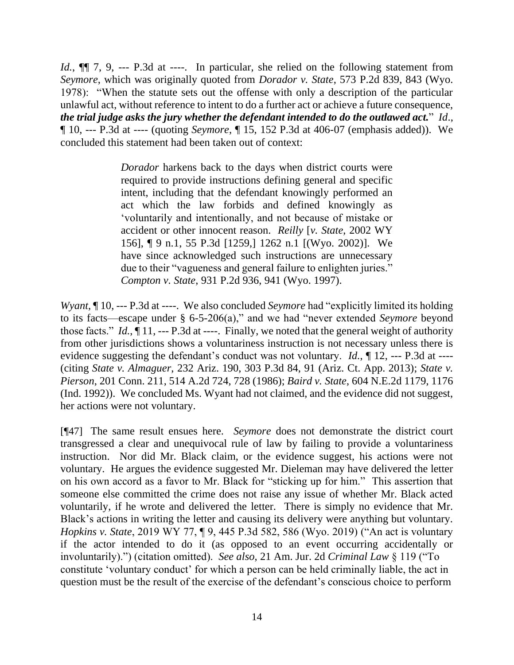*Id.*,  $\P$  7, 9, --- P.3d at ----. In particular, she relied on the following statement from *Seymore*, which was originally quoted from *Dorador v. State*, 573 P.2d 839, 843 (Wyo. 1978): "When the statute sets out the offense with only a description of the particular unlawful act, without reference to intent to do a further act or achieve a future consequence, *the trial judge asks the jury whether the defendant intended to do the outlawed act.*" *Id*., ¶ 10, --- P.3d at ---- (quoting *Seymore*, ¶ 15, 152 P.3d at 406-07 (emphasis added)). We concluded this statement had been taken out of context:

> *Dorador* harkens back to the days when district courts were required to provide instructions defining general and specific intent, including that the defendant knowingly performed an act which the law forbids and defined knowingly as 'voluntarily and intentionally, and not because of mistake or accident or other innocent reason. *Reilly* [*v. State*, 2002 WY 156], ¶ 9 n.1, 55 P.3d [1259,] 1262 n.1 [(Wyo. 2002)]. We have since acknowledged such instructions are unnecessary due to their "vagueness and general failure to enlighten juries." *Compton v. State*, 931 P.2d 936, 941 (Wyo. 1997).

*Wyant*, ¶ 10, --- P.3d at ----. We also concluded *Seymore* had "explicitly limited its holding to its facts—escape under § 6-5-206(a)," and we had "never extended *Seymore* beyond those facts." *Id.*, ¶ 11, --- P.3d at ----. Finally, we noted that the general weight of authority from other jurisdictions shows a voluntariness instruction is not necessary unless there is evidence suggesting the defendant's conduct was not voluntary. *Id.*, 12, --- P.3d at ----(citing *State v. Almaguer*, 232 Ariz. 190, 303 P.3d 84, 91 (Ariz. Ct. App. 2013); *State v. Pierson*, 201 Conn. 211, 514 A.2d 724, 728 (1986); *Baird v. State*, 604 N.E.2d 1179, 1176 (Ind. 1992)). We concluded Ms. Wyant had not claimed, and the evidence did not suggest, her actions were not voluntary.

[¶47] The same result ensues here. *Seymore* does not demonstrate the district court transgressed a clear and unequivocal rule of law by failing to provide a voluntariness instruction. Nor did Mr. Black claim, or the evidence suggest, his actions were not voluntary. He argues the evidence suggested Mr. Dieleman may have delivered the letter on his own accord as a favor to Mr. Black for "sticking up for him." This assertion that someone else committed the crime does not raise any issue of whether Mr. Black acted voluntarily, if he wrote and delivered the letter. There is simply no evidence that Mr. Black's actions in writing the letter and causing its delivery were anything but voluntary. *Hopkins v. State*, 2019 WY 77, ¶ 9, 445 P.3d 582, 586 (Wyo. 2019) ("An act is voluntary if the actor intended to do it (as opposed to an event occurring accidentally or involuntarily).") (citation omitted). *See also*, 21 Am. Jur. 2d *Criminal Law* § 119 ("To constitute 'voluntary conduct' for which a person can be held criminally liable, the act in question must be the result of the exercise of the defendant's conscious choice to perform